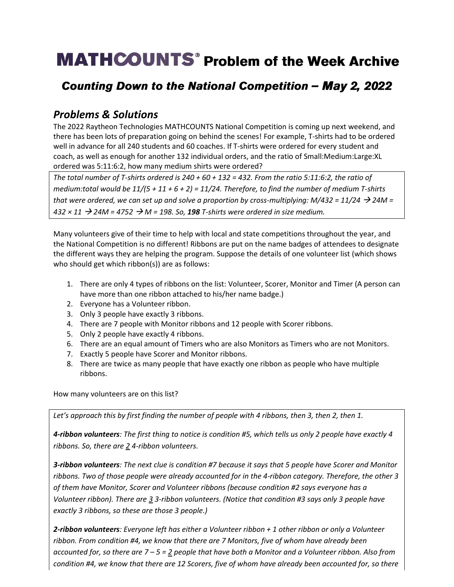# **MATHCOUNTS**<sup>®</sup> Problem of the Week Archive

## Counting Down to the National Competition - May 2, 2022

### *Problems & Solutions*

The 2022 Raytheon Technologies MATHCOUNTS National Competition is coming up next weekend, and there has been lots of preparation going on behind the scenes! For example, T-shirts had to be ordered well in advance for all 240 students and 60 coaches. If T-shirts were ordered for every student and coach, as well as enough for another 132 individual orders, and the ratio of Small:Medium:Large:XL ordered was 5:11:6:2, how many medium shirts were ordered?

*The total number of T-shirts ordered is 240 + 60 + 132 = 432. From the ratio 5:11:6:2, the ratio of medium:total would be 11/(5 + 11 + 6 + 2) = 11/24. Therefore, to find the number of medium T-shirts that were ordered, we can set up and solve a proportion by cross-multiplying: M/432 = 11/24*  $\rightarrow$  *24M = 432 × 11* → *24M = 4752* → *M = 198. So, 198 T-shirts were ordered in size medium.*

Many volunteers give of their time to help with local and state competitions throughout the year, and the National Competition is no different! Ribbons are put on the name badges of attendees to designate the different ways they are helping the program. Suppose the details of one volunteer list (which shows who should get which ribbon(s)) are as follows:

- 1. There are only 4 types of ribbons on the list: Volunteer, Scorer, Monitor and Timer (A person can have more than one ribbon attached to his/her name badge.)
- 2. Everyone has a Volunteer ribbon.
- 3. Only 3 people have exactly 3 ribbons.
- 4. There are 7 people with Monitor ribbons and 12 people with Scorer ribbons.
- 5. Only 2 people have exactly 4 ribbons.
- 6. There are an equal amount of Timers who are also Monitors as Timers who are not Monitors.
- 7. Exactly 5 people have Scorer and Monitor ribbons.
- 8. There are twice as many people that have exactly one ribbon as people who have multiple ribbons.

How many volunteers are on this list?

*Let's approach this by first finding the number of people with 4 ribbons, then 3, then 2, then 1.* 

*4-ribbon volunteers: The first thing to notice is condition #5, which tells us only 2 people have exactly 4 ribbons. So, there are 2 4-ribbon volunteers.* 

*3-ribbon volunteers: The next clue is condition #7 because it says that 5 people have Scorer and Monitor ribbons. Two of those people were already accounted for in the 4-ribbon category. Therefore, the other 3 of them have Monitor, Scorer and Volunteer ribbons (because condition #2 says everyone has a Volunteer ribbon). There are 3 3-ribbon volunteers. (Notice that condition #3 says only 3 people have exactly 3 ribbons, so these are those 3 people.)*

*2-ribbon volunteers: Everyone left has either a Volunteer ribbon + 1 other ribbon or only a Volunteer ribbon. From condition #4, we know that there are 7 Monitors, five of whom have already been accounted for, so there are 7 – 5 = 2 people that have both a Monitor and a Volunteer ribbon. Also from condition #4, we know that there are 12 Scorers, five of whom have already been accounted for, so there*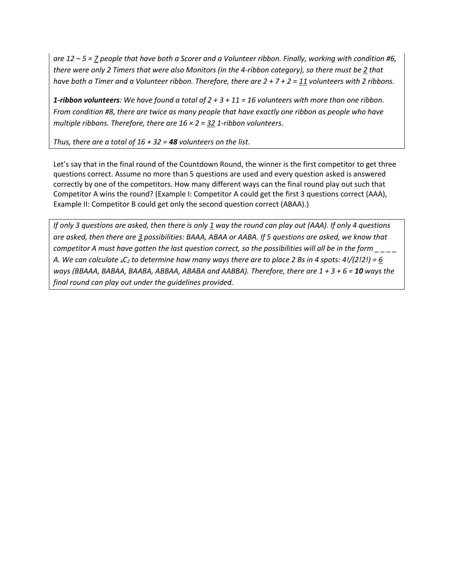*are 12 – 5 = 7 people that have both a Scorer and a Volunteer ribbon. Finally, working with condition #6, there were only 2 Timers that were also Monitors (in the 4-ribbon category), so there must be 2 that have both a Timer and a Volunteer ribbon. Therefore, there are 2 + 7 + 2 = 11 volunteers with 2 ribbons.* 

*1-ribbon volunteers: We have found a total of 2 + 3 + 11 = 16 volunteers with more than one ribbon. From condition #8, there are twice as many people that have exactly one ribbon as people who have multiple ribbons. Therefore, there are 16 × 2 = 32 1-ribbon volunteers.*

*Thus, there are a total of 16 + 32 = 48 volunteers on the list.* 

Let's say that in the final round of the Countdown Round, the winner is the first competitor to get three questions correct. Assume no more than 5 questions are used and every question asked is answered correctly by one of the competitors. How many different ways can the final round play out such that Competitor A wins the round? (Example I: Competitor A could get the first 3 questions correct (AAA), Example II: Competitor B could get only the second question correct (ABAA).)

*If only 3 questions are asked, then there is only 1 way the round can play out (AAA). If only 4 questions are asked, then there are 3 possibilities: BAAA, ABAA or AABA. If 5 questions are asked, we know that competitor A must have gotten the last question correct, so the possibilities will all be in the form \_ \_ \_ \_ A. We can calculate 4C<sup>2</sup> to determine how many ways there are to place 2 Bs in 4 spots: 4!/(2!2!) = 6 ways (BBAAA, BABAA, BAABA, ABBAA, ABABA and AABBA). Therefore, there are 1 + 3 + 6 = 10 ways the final round can play out under the guidelines provided.*